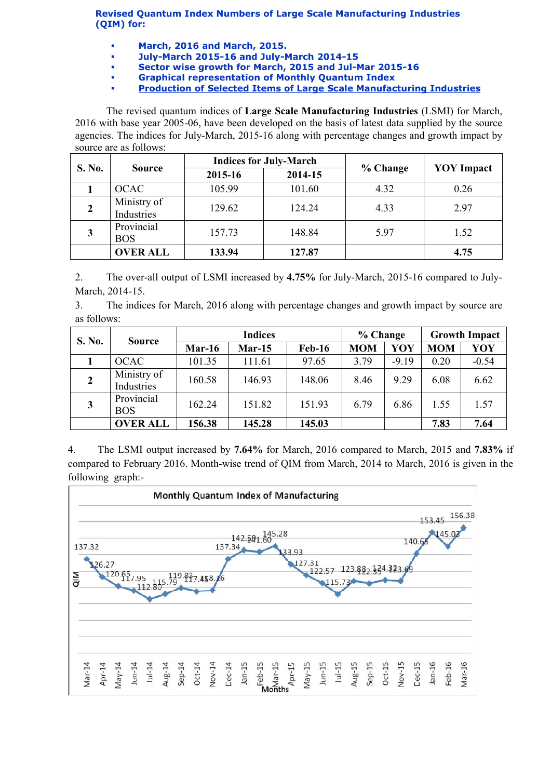Revised Quantum Index Numbers of Large Scale Manufacturing Industries (QIM) for:

- March, 2016 and March, 2015.
- July-March 2015-16 and July-March 2014-15
- Sector wise growth for March, 2015 and Jul-Mar 2015-16
	- Graphical representation of Monthly Quantum Index
- [Production of Selected Items of Large Scale Manufacturing Industries](http://www.statpak.gov.pk/depts/fbs/statistics/qim/qim_details.pdf)

The revised quantum indices of Large Scale Manufacturing Industries (LSMI) for March, 2016 with base year 2005-06, have been developed on the basis of latest data supplied by the source agencies. The indices for July-March, 2015-16 along with percentage changes and growth impact by source are as follows:

| S. No. | <b>Source</b>             |         | <b>Indices for July-March</b> |          | <b>YOY</b> Impact |  |
|--------|---------------------------|---------|-------------------------------|----------|-------------------|--|
|        |                           | 2015-16 | 2014-15                       | % Change |                   |  |
|        | <b>OCAC</b>               | 105.99  | 101.60                        | 4.32     | 0.26              |  |
|        | Ministry of<br>Industries | 129.62  | 124.24                        | 4.33     | 2.97              |  |
| 3      | Provincial<br><b>BOS</b>  | 157.73  | 148.84                        | 5.97     | 1.52              |  |
|        | <b>OVER ALL</b>           | 133.94  | 127.87                        |          | 4.75              |  |

2. The over-all output of LSMI increased by 4.75% for July-March, 2015-16 compared to July-March, 2014-15.

3. The indices for March, 2016 along with percentage changes and growth impact by source are as follows:

| S. No.       | <b>Source</b>             | <b>Indices</b> |          |               | % Change   |         | <b>Growth Impact</b> |         |
|--------------|---------------------------|----------------|----------|---------------|------------|---------|----------------------|---------|
|              |                           | $Mar-16$       | $Mar-15$ | <b>Feb-16</b> | <b>MOM</b> | YOY     | <b>MOM</b>           | YOY     |
|              | <b>OCAC</b>               | 101.35         | 111.61   | 97.65         | 3.79       | $-9.19$ | 0.20                 | $-0.54$ |
| $\mathbf{2}$ | Ministry of<br>Industries | 160.58         | 146.93   | 148.06        | 8.46       | 9.29    | 6.08                 | 6.62    |
| $\mathbf{3}$ | Provincial<br><b>BOS</b>  | 162.24         | 151.82   | 151.93        | 6.79       | 6.86    | 1.55                 | 1.57    |
|              | <b>OVER ALL</b>           | 156.38         | 145.28   | 145.03        |            |         | 7.83                 | 7.64    |

4. The LSMI output increased by 7.64% for March, 2016 compared to March, 2015 and 7.83% if compared to February 2016. Month-wise trend of QIM from March, 2014 to March, 2016 is given in the following graph:-